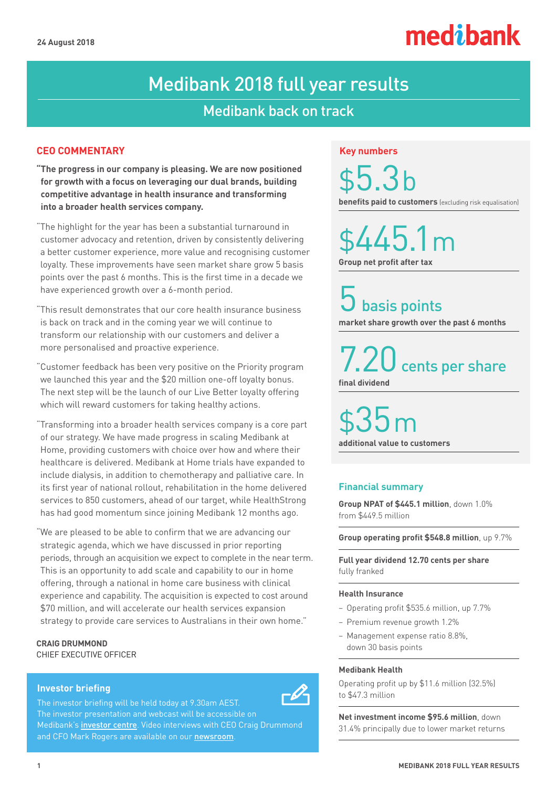# medibank

## Medibank 2018 full year results

## Medibank back on track

### **CEO COMMENTARY**

- **"The progress in our company is pleasing. We are now positioned for growth with a focus on leveraging our dual brands, building competitive advantage in health insurance and transforming into a broader health services company.**
- "The highlight for the year has been a substantial turnaround in customer advocacy and retention, driven by consistently delivering a better customer experience, more value and recognising customer loyalty. These improvements have seen market share grow 5 basis points over the past 6 months. This is the first time in a decade we have experienced growth over a 6-month period.
- "This result demonstrates that our core health insurance business is back on track and in the coming year we will continue to transform our relationship with our customers and deliver a more personalised and proactive experience.
- "Customer feedback has been very positive on the Priority program we launched this year and the \$20 million one-off loyalty bonus. The next step will be the launch of our Live Better loyalty offering which will reward customers for taking healthy actions.
- "Transforming into a broader health services company is a core part of our strategy. We have made progress in scaling Medibank at Home, providing customers with choice over how and where their healthcare is delivered. Medibank at Home trials have expanded to include dialysis, in addition to chemotherapy and palliative care. In its first year of national rollout, rehabilitation in the home delivered services to 850 customers, ahead of our target, while HealthStrong has had good momentum since joining Medibank 12 months ago.
- "We are pleased to be able to confirm that we are advancing our strategic agenda, which we have discussed in prior reporting periods, through an acquisition we expect to complete in the near term. This is an opportunity to add scale and capability to our in home offering, through a national in home care business with clinical experience and capability. The acquisition is expected to cost around \$70 million, and will accelerate our health services expansion strategy to provide care services to Australians in their own home."

**CRAIG DRUMMOND** CHIEF EXECUTIVE OFFICER

### **Investor briefing**

The investor briefing will be held today at 9.30am AEST. The investor presentation and webcast will be accessible on Medibank's [investor centre](https://www.medibank.com.au/about/investor-centre/results-reports/). Video interviews with CEO Craig Drummond and CFO Mark Rogers are available on our [newsroom](https://www.medibank.com.au/livebetter/newsroom).

### **Key numbers**

\$5.3 b **benefits paid to customers** (excluding risk equalisation)

\$445.1 m **Group net profit after tax**

**basis points** 

**market share growth over the past 6 months** 

cents per share **final dividend**

\$35 m **additional value to customers** 

### **Financial summary**

**Group NPAT of \$445.1 million**, down 1.0% from \$449.5 million

**Group operating profit \$548.8 million**, up 9.7%

**Full year dividend 12.70 cents per share** fully franked

### **Health Insurance**

- Operating profit \$535.6 million, up 7.7%
- Premium revenue growth 1.2%
- Management expense ratio 8.8%, down 30 basis points

### **Medibank Health**

Operating profit up by \$11.6 million (32.5%) to \$47.3 million

**Net investment income \$95.6 million**, down 31.4% principally due to lower market returns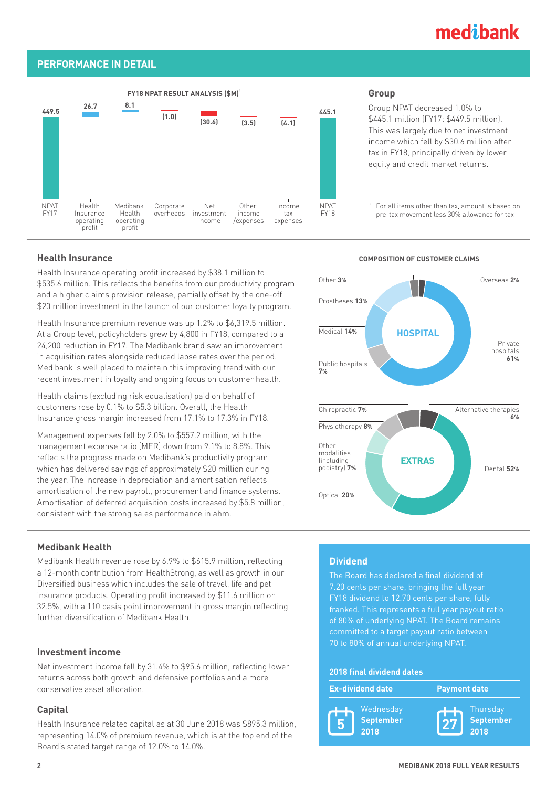## medibank

### **PERFORMANCE IN DETAIL**



### **Group**

Group NPAT decreased 1.0% to \$445.1 million (FY17: \$449.5 million). This was largely due to net investment income which fell by \$30.6 million after tax in FY18, principally driven by lower equity and credit market returns.

1. For all items other than tax, amount is based on pre-tax movement less 30% allowance for tax

Health Insurance operating profit increased by \$38.1 million to \$535.6 million. This reflects the benefits from our productivity program and a higher claims provision release, partially offset by the one-off \$20 million investment in the launch of our customer loyalty program.

Health Insurance premium revenue was up 1.2% to \$6,319.5 million. At a Group level, policyholders grew by 4,800 in FY18, compared to a 24,200 reduction in FY17. The Medibank brand saw an improvement in acquisition rates alongside reduced lapse rates over the period. Medibank is well placed to maintain this improving trend with our recent investment in loyalty and ongoing focus on customer health.

Health claims (excluding risk equalisation) paid on behalf of customers rose by 0.1% to \$5.3 billion. Overall, the Health Insurance gross margin increased from 17.1% to 17.3% in FY18.

Management expenses fell by 2.0% to \$557.2 million, with the management expense ratio (MER) down from 9.1% to 8.8%. This reflects the progress made on Medibank's productivity program which has delivered savings of approximately \$20 million during the year. The increase in depreciation and amortisation reflects amortisation of the new payroll, procurement and finance systems. Amortisation of deferred acquisition costs increased by \$5.8 million, consistent with the strong sales performance in ahm.

### **Medibank Health**

Medibank Health revenue rose by 6.9% to \$615.9 million, reflecting a 12-month contribution from HealthStrong, as well as growth in our Diversified business which includes the sale of travel, life and pet insurance products. Operating profit increased by \$11.6 million or 32.5%, with a 110 basis point improvement in gross margin reflecting further diversification of Medibank Health.

### **Investment income**

Net investment income fell by 31.4% to \$95.6 million, reflecting lower returns across both growth and defensive portfolios and a more conservative asset allocation.

### **Capital**

Health Insurance related capital as at 30 June 2018 was \$895.3 million, representing 14.0% of premium revenue, which is at the top end of the Board's stated target range of 12.0% to 14.0%.

### **Health Insurance COMPOSITION OF CUSTOMER CLAIMS**



### **Dividend**

The Board has declared a final dividend of 7.20 cents per share, bringing the full year FY18 dividend to 12.70 cents per share, fully franked. This represents a full year payout ratio of 80% of underlying NPAT. The Board remains committed to a target payout ratio between 70 to 80% of annual underlying NPAT.

### **2018 final dividend dates**

|   | <b>Ex-dividend date</b>        | <b>Payment date</b>    |           |
|---|--------------------------------|------------------------|-----------|
| 5 | Wednesday<br>September<br>2018 | Thursday<br>71<br>2018 | September |